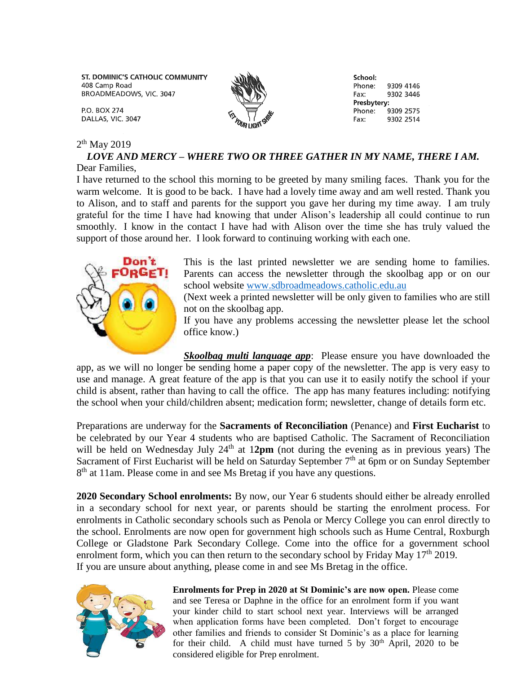ST. DOMINIC'S CATHOLIC COMMUNITY 408 Camp Road BROADMEADOWS, VIC. 3047

**P.O. BOX 274** DALLAS, VIC. 3047

### 2<sup>th</sup> May 2019

#### *LOVE AND MERCY – WHERE TWO OR THREE GATHER IN MY NAME, THERE I AM.* Dear Families,

I have returned to the school this morning to be greeted by many smiling faces. Thank you for the warm welcome. It is good to be back. I have had a lovely time away and am well rested. Thank you to Alison, and to staff and parents for the support you gave her during my time away. I am truly grateful for the time I have had knowing that under Alison's leadership all could continue to run smoothly. I know in the contact I have had with Alison over the time she has truly valued the support of those around her. I look forward to continuing working with each one.



This is the last printed newsletter we are sending home to families. Parents can access the newsletter through the skoolbag app or on our school website [www.sdbroadmeadows.catholic.edu.au](http://www.sdbroadmeadows.catholic.edu.au/)

School:

Phone:

Phone<sup>.</sup>

Presbytery:

Fax:

Fax:

9309 4146

9302 3446

9309 2575

9302 2514

(Next week a printed newsletter will be only given to families who are still not on the skoolbag app.

If you have any problems accessing the newsletter please let the school office know.)

*Skoolbag multi language app*: Please ensure you have downloaded the app, as we will no longer be sending home a paper copy of the newsletter. The app is very easy to use and manage. A great feature of the app is that you can use it to easily notify the school if your child is absent, rather than having to call the office. The app has many features including: notifying the school when your child/children absent; medication form; newsletter, change of details form etc.

Preparations are underway for the **Sacraments of Reconciliation** (Penance) and **First Eucharist** to be celebrated by our Year 4 students who are baptised Catholic. The Sacrament of Reconciliation will be held on Wednesday July 24<sup>th</sup> at 12pm (not during the evening as in previous years) The Sacrament of First Eucharist will be held on Saturday September  $7<sup>th</sup>$  at 6pm or on Sunday September 8<sup>th</sup> at 11am. Please come in and see Ms Bretag if you have any questions.

**2020 Secondary School enrolments:** By now, our Year 6 students should either be already enrolled in a secondary school for next year, or parents should be starting the enrolment process. For enrolments in Catholic secondary schools such as Penola or Mercy College you can enrol directly to the school. Enrolments are now open for government high schools such as Hume Central, Roxburgh College or Gladstone Park Secondary College. Come into the office for a government school enrolment form, which you can then return to the secondary school by Friday May  $17<sup>th</sup> 2019$ . If you are unsure about anything, please come in and see Ms Bretag in the office.



**Enrolments for Prep in 2020 at St Dominic's are now open.** Please come and see Teresa or Daphne in the office for an enrolment form if you want your kinder child to start school next year. Interviews will be arranged when application forms have been completed. Don't forget to encourage other families and friends to consider St Dominic's as a place for learning for their child. A child must have turned 5 by  $30<sup>th</sup>$  April, 2020 to be considered eligible for Prep enrolment.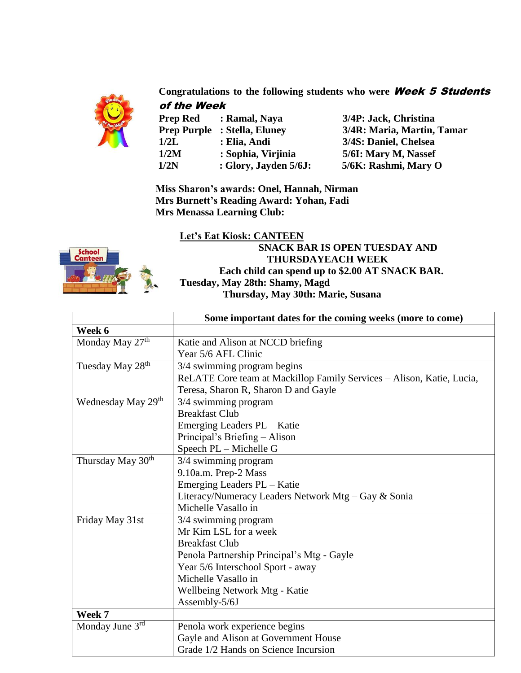

**Congratulations to the following students who were** Week 5 Students of the Week

| <b>Prep Red</b>    | : Ramal, Naya        |
|--------------------|----------------------|
| <b>Prep Purple</b> | : Stella, Eluney     |
| 1/2L               | : Elia, Andi         |
| 1/2M               | : Sophia, Virjinia   |
| 1/2N               | : Glory, Jayden 5/6J |

**Prep Red : Ramal, Naya 3/4P: Jack, Christina Prep Purple : Stella, Eluney 3/4R: Maria, Martin, Tamar 1/2L : Elia, Andi 3/4S: Daniel, Chelsea 1/2M : Sophia, Virjinia 5/6I: Mary M, Nassef 1/2N : Glory, Jayden 5/6J: 5/6K: Rashmi, Mary O**

 **Miss Sharon's awards: Onel, Hannah, Nirman Mrs Burnett's Reading Award: Yohan, Fadi Mrs Menassa Learning Club:** 



### **Let's Eat Kiosk: CANTEEN**

 **SNACK BAR IS OPEN TUESDAY AND THURSDAYEACH WEEK Each child can spend up to \$2.00 AT SNACK BAR. Tuesday, May 28th: Shamy, Magd Thursday, May 30th: Marie, Susana**

|                                | Some important dates for the coming weeks (more to come)              |
|--------------------------------|-----------------------------------------------------------------------|
| Week 6                         |                                                                       |
| Monday May 27th                | Katie and Alison at NCCD briefing                                     |
|                                | Year 5/6 AFL Clinic                                                   |
| Tuesday May 28 <sup>th</sup>   | 3/4 swimming program begins                                           |
|                                | ReLATE Core team at Mackillop Family Services - Alison, Katie, Lucia, |
|                                | Teresa, Sharon R, Sharon D and Gayle                                  |
| Wednesday May 29 <sup>th</sup> | 3/4 swimming program                                                  |
|                                | <b>Breakfast Club</b>                                                 |
|                                | Emerging Leaders PL - Katie                                           |
|                                | Principal's Briefing – Alison                                         |
|                                | Speech PL - Michelle G                                                |
| Thursday May 30 <sup>th</sup>  | 3/4 swimming program                                                  |
|                                | 9.10a.m. Prep-2 Mass                                                  |
|                                | Emerging Leaders PL - Katie                                           |
|                                | Literacy/Numeracy Leaders Network Mtg - Gay & Sonia                   |
|                                | Michelle Vasallo in                                                   |
| Friday May 31st                | 3/4 swimming program                                                  |
|                                | Mr Kim LSL for a week                                                 |
|                                | <b>Breakfast Club</b>                                                 |
|                                | Penola Partnership Principal's Mtg - Gayle                            |
|                                | Year 5/6 Interschool Sport - away                                     |
|                                | Michelle Vasallo in                                                   |
|                                | Wellbeing Network Mtg - Katie                                         |
|                                | Assembly-5/6J                                                         |
| Week 7                         |                                                                       |
| Monday June 3rd                | Penola work experience begins                                         |
|                                | Gayle and Alison at Government House                                  |
|                                | Grade 1/2 Hands on Science Incursion                                  |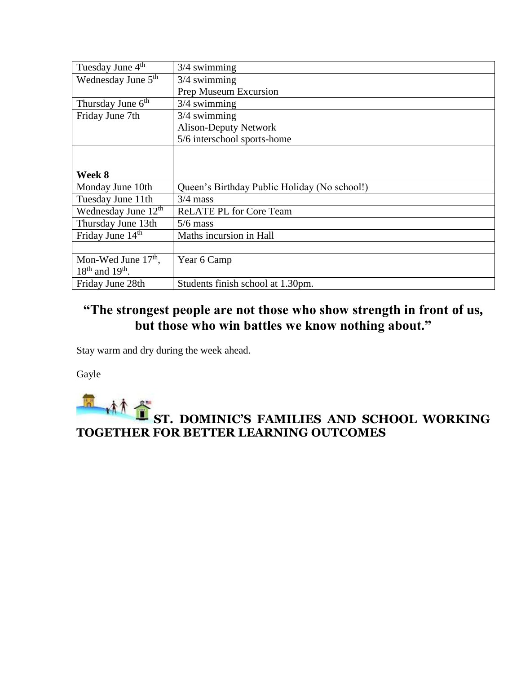| Tuesday June 4 <sup>th</sup>    | $3/4$ swimming                               |
|---------------------------------|----------------------------------------------|
| Wednesday June 5 <sup>th</sup>  | $3/4$ swimming                               |
|                                 | Prep Museum Excursion                        |
| Thursday June 6 <sup>th</sup>   | $3/4$ swimming                               |
| Friday June 7th                 | $3/4$ swimming                               |
|                                 | <b>Alison-Deputy Network</b>                 |
|                                 | 5/6 interschool sports-home                  |
|                                 |                                              |
|                                 |                                              |
| Week 8                          |                                              |
| Monday June 10th                | Queen's Birthday Public Holiday (No school!) |
| Tuesday June 11th               | $3/4$ mass                                   |
| Wednesday June 12 <sup>th</sup> | <b>ReLATE PL for Core Team</b>               |
| Thursday June 13th              | $5/6$ mass                                   |
| Friday June 14 <sup>th</sup>    | Maths incursion in Hall                      |
|                                 |                                              |
| Mon-Wed June $17th$ ,           | Year 6 Camp                                  |
| $18th$ and $19th$ .             |                                              |
| Friday June 28th                | Students finish school at 1.30pm.            |

# **"The strongest people are not those who show strength in front of us, but those who win battles we know nothing about."**

Stay warm and dry during the week ahead.

Gayle